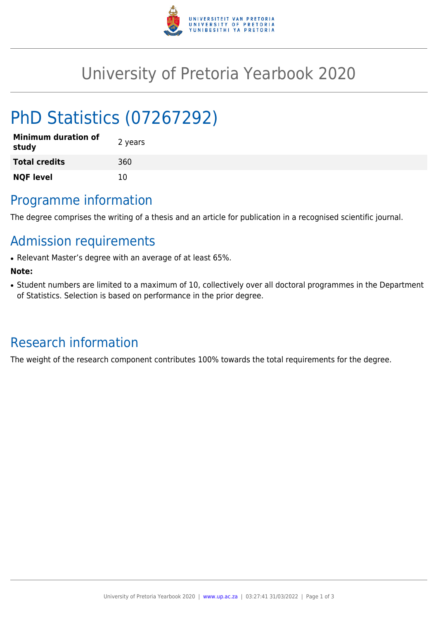

## University of Pretoria Yearbook 2020

# PhD Statistics (07267292)

| <b>Minimum duration of</b><br>study | 2 years |
|-------------------------------------|---------|
| <b>Total credits</b>                | 360     |
| <b>NQF level</b>                    | 10      |

### Programme information

The degree comprises the writing of a thesis and an article for publication in a recognised scientific journal.

### Admission requirements

• Relevant Master's degree with an average of at least 65%.

#### **Note:**

• Student numbers are limited to a maximum of 10, collectively over all doctoral programmes in the Department of Statistics. Selection is based on performance in the prior degree.

### Research information

The weight of the research component contributes 100% towards the total requirements for the degree.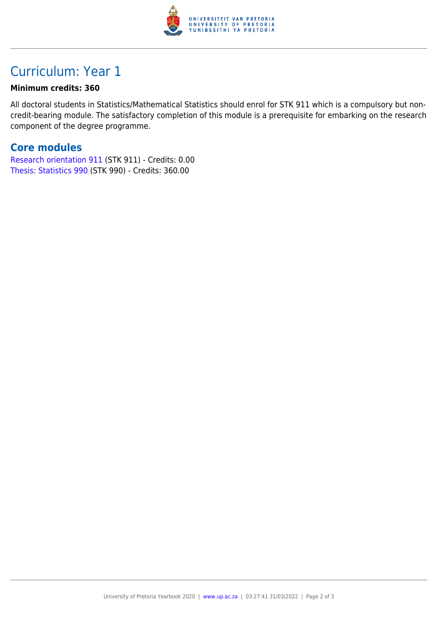

### Curriculum: Year 1

#### **Minimum credits: 360**

All doctoral students in Statistics/Mathematical Statistics should enrol for STK 911 which is a compulsory but noncredit-bearing module. The satisfactory completion of this module is a prerequisite for embarking on the research component of the degree programme.

#### **Core modules**

[Research orientation 911](https://www.up.ac.za/parents/yearbooks/2020/modules/view/STK 911) (STK 911) - Credits: 0.00 [Thesis: Statistics 990](https://www.up.ac.za/parents/yearbooks/2020/modules/view/STK 990) (STK 990) - Credits: 360.00